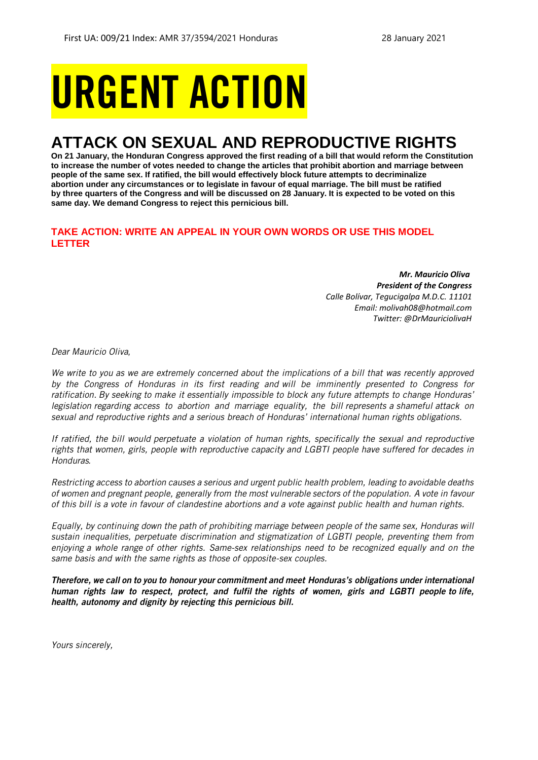# URGENT ACTION

## **ATTACK ON SEXUAL AND REPRODUCTIVE RIGHTS**

**On 21 January, the Honduran Congress approved the first reading of a bill that would reform the Constitution to increase the number of votes needed to change the articles that prohibit abortion and marriage between people of the same sex. If ratified, the bill would effectively block future attempts to decriminalize abortion under any circumstances or to legislate in favour of equal marriage. The bill must be ratified by three quarters of the Congress and will be discussed on 28 January. It is expected to be voted on this same day. We demand Congress to reject this pernicious bill.**

## **TAKE ACTION: WRITE AN APPEAL IN YOUR OWN WORDS OR USE THIS MODEL LETTER**

*Mr. Mauricio Oliva President of the Congress Calle Bolívar, Tegucigalpa M.D.C. 11101 Email: molivah08@hotmail.com Twitter: @DrMauriciolivaH*

*Dear Mauricio Oliva,*

*We write to you as we are extremely concerned about the implications of a bill that was recently approved by the Congress of Honduras in its first reading and will be imminently presented to Congress for ratification. By seeking to make it essentially impossible to block any future attempts to change Honduras' legislation regarding access to abortion and marriage equality, the bill represents a shameful attack on sexual and reproductive rights and a serious breach of Honduras' international human rights obligations.*

*If ratified, the bill would perpetuate a violation of human rights, specifically the sexual and reproductive rights that women, girls, people with reproductive capacity and LGBTI people have suffered for decades in Honduras.*

*Restricting access to abortion causes a serious and urgent public health problem, leading to avoidable deaths of women and pregnant people, generally from the most vulnerable sectors of the population. A vote in favour of this bill is a vote in favour of clandestine abortions and a vote against public health and human rights.*

*Equally, by continuing down the path of prohibiting marriage between people of the same sex, Honduras will sustain inequalities, perpetuate discrimination and stigmatization of LGBTI people, preventing them from enjoying a whole range of other rights. Same-sex relationships need to be recognized equally and on the same basis and with the same rights as those of opposite-sex couples.*

*Therefore, we call on to you to honour your commitment and meet Honduras's obligations under international human rights law to respect, protect, and fulfil the rights of women, girls and LGBTI people to life, health, autonomy and dignity by rejecting this pernicious bill.*

*Yours sincerely,*